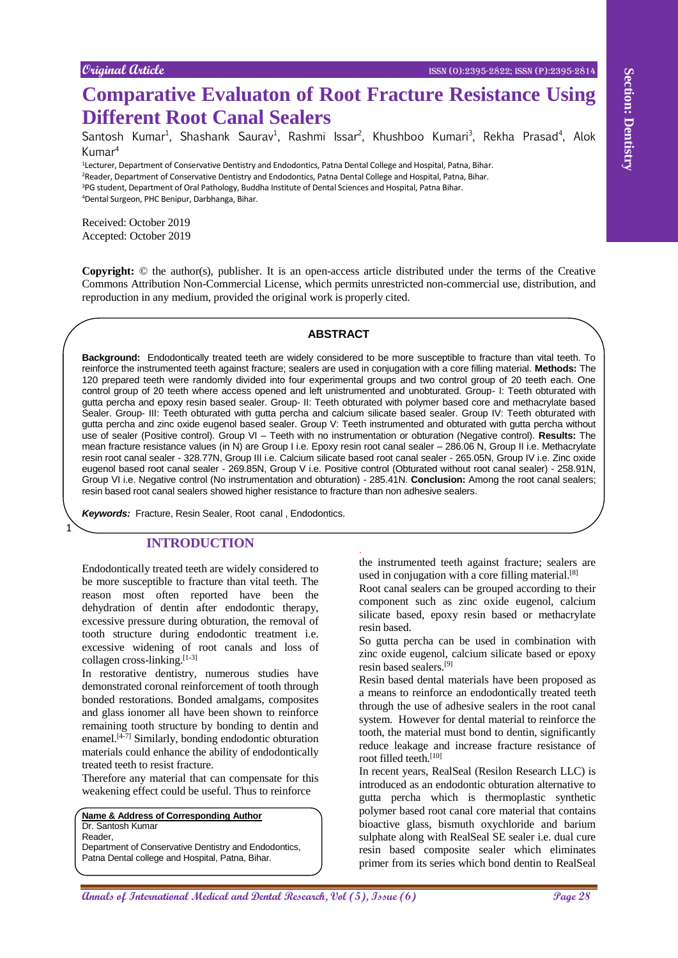Santosh Kumar<sup>1</sup>, Shashank Saurav<sup>1</sup>, Rashmi Issar<sup>2</sup>, Khushboo Kumari<sup>3</sup>, Rekha Prasad<sup>4</sup>, Alok Kumar<sup>4</sup>

<sup>1</sup>Lecturer, Department of Conservative Dentistry and Endodontics, Patna Dental College and Hospital, Patna, Bihar. <sup>2</sup>Reader, Department of Conservative Dentistry and Endodontics, Patna Dental College and Hospital, Patna, Bihar. <sup>3</sup>PG student, Department of Oral Pathology, Buddha Institute of Dental Sciences and Hospital, Patna Bihar. <sup>4</sup>Dental Surgeon, PHC Benipur, Darbhanga, Bihar.

Received: October 2019 Accepted: October 2019

**Copyright:** © the author(s), publisher. It is an open-access article distributed under the terms of the Creative Commons Attribution Non-Commercial License, which permits unrestricted non-commercial use, distribution, and reproduction in any medium, provided the original work is properly cited.

#### **ABSTRACT**

**Compared the Evaluation CROC** Compared the Content of Box 100 and Content of Box 100 and Content Research, Canadia and Content Research, Content Research, Content Content Content Content Content Content Content Content Co **Background:** Endodontically treated teeth are widely considered to be more susceptible to fracture than vital teeth. To reinforce the instrumented teeth against fracture; sealers are used in conjugation with a core filling material. **Methods:** The 120 prepared teeth were randomly divided into four experimental groups and two control group of 20 teeth each. One control group of 20 teeth where access opened and left unistrumented and unobturated. Group- I: Teeth obturated with gutta percha and epoxy resin based sealer. Group- II: Teeth obturated with polymer based core and methacrylate based Sealer. Group- III: Teeth obturated with gutta percha and calcium silicate based sealer. Group IV: Teeth obturated with gutta percha and zinc oxide eugenol based sealer. Group V: Teeth instrumented and obturated with gutta percha without use of sealer (Positive control). Group VI – Teeth with no instrumentation or obturation (Negative control). **Results:** The mean fracture resistance values (in N) are Group I i.e. Epoxy resin root canal sealer – 286.06 N, Group II i.e. Methacrylate resin root canal sealer - 328.77N, Group III i.e. Calcium silicate based root canal sealer - 265.05N, Group IV i.e. Zinc oxide eugenol based root canal sealer - 269.85N, Group V i.e. Positive control (Obturated without root canal sealer) - 258.91N, Group VI i.e. Negative control (No instrumentation and obturation) - 285.41N. **Conclusion:** Among the root canal sealers; resin based root canal sealers showed higher resistance to fracture than non adhesive sealers.

.

*Keywords:* Fracture, Resin Sealer, Root canal , Endodontics.

## **INTRODUCTION**

Endodontically treated teeth are widely considered to be more susceptible to fracture than vital teeth. The reason most often reported have been the dehydration of dentin after endodontic therapy, excessive pressure during obturation, the removal of tooth structure during endodontic treatment i.e. excessive widening of root canals and loss of collagen cross-linking. [1-3]

In restorative dentistry, numerous studies have demonstrated coronal reinforcement of tooth through bonded restorations. Bonded amalgams, composites and glass ionomer all have been shown to reinforce remaining tooth structure by bonding to dentin and enamel. [4-7] Similarly, bonding endodontic obturation materials could enhance the ability of endodontically treated teeth to resist fracture.

Therefore any material that can compensate for this weakening effect could be useful. Thus to reinforce

**Name & Address of Corresponding Author** Dr. Santosh Kumar

Reader,

1

Department of Conservative Dentistry and Endodontics, Patna Dental college and Hospital, Patna, Bihar.

the instrumented teeth against fracture; sealers are used in conjugation with a core filling material.<sup>[8]</sup>

Root canal sealers can be grouped according to their component such as zinc oxide eugenol, calcium silicate based, epoxy resin based or methacrylate resin based.

So gutta percha can be used in combination with zinc oxide eugenol, calcium silicate based or epoxy resin based sealers. [9]

Resin based dental materials have been proposed as a means to reinforce an endodontically treated teeth through the use of adhesive sealers in the root canal system. However for dental material to reinforce the tooth, the material must bond to dentin, significantly reduce leakage and increase fracture resistance of root filled teeth. [10]

In recent years, RealSeal (Resilon Research LLC) is introduced as an endodontic obturation alternative to gutta percha which is thermoplastic synthetic polymer based root canal core material that contains bioactive glass, bismuth oxychloride and barium sulphate along with RealSeal SE sealer i.e. dual cure resin based composite sealer which eliminates primer from its series which bond dentin to RealSeal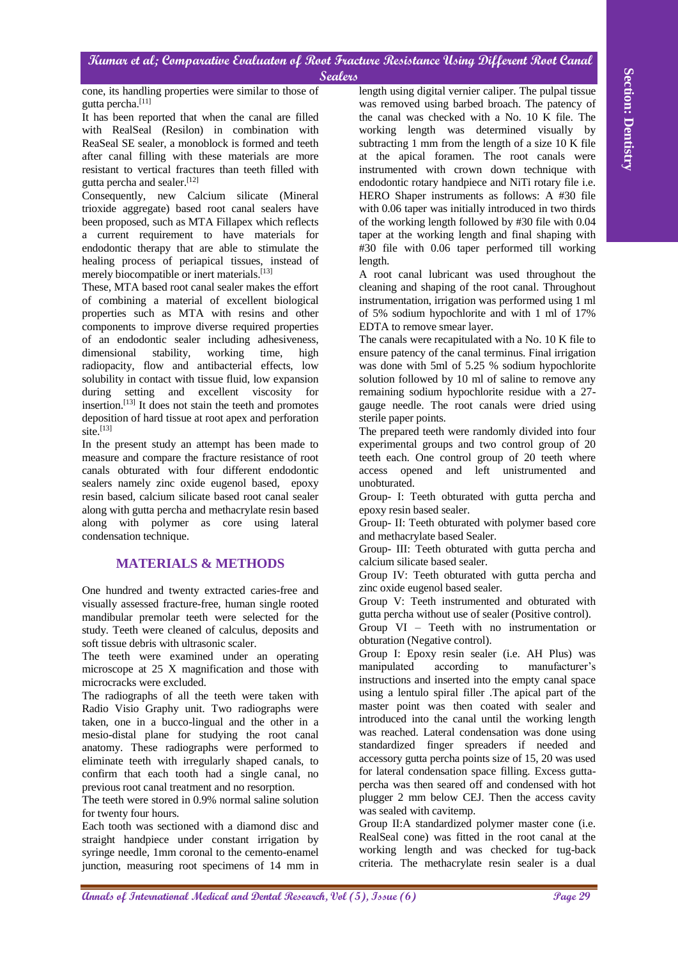cone, its handling properties were similar to those of gutta percha. [11]

It has been reported that when the canal are filled with RealSeal (Resilon) in combination with ReaSeal SE sealer, a monoblock is formed and teeth after canal filling with these materials are more resistant to vertical fractures than teeth filled with gutta percha and sealer. [12]

Consequently, new Calcium silicate (Mineral trioxide aggregate) based root canal sealers have been proposed, such as MTA Fillapex which reflects a current requirement to have materials for endodontic therapy that are able to stimulate the healing process of periapical tissues, instead of merely biocompatible or inert materials.<sup>[13]</sup>

These, MTA based root canal sealer makes the effort of combining a material of excellent biological properties such as MTA with resins and other components to improve diverse required properties of an endodontic sealer including adhesiveness, dimensional stability, working time, high radiopacity, flow and antibacterial effects, low solubility in contact with tissue fluid, low expansion during setting and excellent viscosity for insertion. [13] It does not stain the teeth and promotes deposition of hard tissue at root apex and perforation site. [13]

In the present study an attempt has been made to measure and compare the fracture resistance of root canals obturated with four different endodontic sealers namely zinc oxide eugenol based, epoxy resin based, calcium silicate based root canal sealer along with gutta percha and methacrylate resin based along with polymer as core using lateral condensation technique.

# **MATERIALS & METHODS**

One hundred and twenty extracted caries-free and visually assessed fracture-free, human single rooted mandibular premolar teeth were selected for the study. Teeth were cleaned of calculus, deposits and soft tissue debris with ultrasonic scaler.

The teeth were examined under an operating microscope at 25 X magnification and those with microcracks were excluded.

The radiographs of all the teeth were taken with Radio Visio Graphy unit. Two radiographs were taken, one in a bucco-lingual and the other in a mesio-distal plane for studying the root canal anatomy. These radiographs were performed to eliminate teeth with irregularly shaped canals, to confirm that each tooth had a single canal, no previous root canal treatment and no resorption.

The teeth were stored in 0.9% normal saline solution for twenty four hours.

Each tooth was sectioned with a diamond disc and straight handpiece under constant irrigation by syringe needle, 1mm coronal to the cemento-enamel junction, measuring root specimens of 14 mm in

**Annals in the distribution were also that the section of the control of the control of the control of the control of the control of the control of the control of the control of the control of the control of the control of** length using digital vernier caliper. The pulpal tissue was removed using barbed broach. The patency of the canal was checked with a No. 10 K file. The working length was determined visually by subtracting 1 mm from the length of a size 10 K file at the apical foramen. The root canals were instrumented with crown down technique with endodontic rotary handpiece and NiTi rotary file i.e. HERO Shaper instruments as follows: A #30 file with 0.06 taper was initially introduced in two thirds of the working length followed by #30 file with 0.04 taper at the working length and final shaping with #30 file with 0.06 taper performed till working length.

A root canal lubricant was used throughout the cleaning and shaping of the root canal. Throughout instrumentation, irrigation was performed using 1 ml of 5% sodium hypochlorite and with 1 ml of 17% EDTA to remove smear layer.

The canals were recapitulated with a No. 10 K file to ensure patency of the canal terminus. Final irrigation was done with 5ml of 5.25 % sodium hypochlorite solution followed by 10 ml of saline to remove any remaining sodium hypochlorite residue with a 27 gauge needle. The root canals were dried using sterile paper points.

The prepared teeth were randomly divided into four experimental groups and two control group of 20 teeth each. One control group of 20 teeth where access opened and left unistrumented and unobturated.

Group- I: Teeth obturated with gutta percha and epoxy resin based sealer.

Group- II: Teeth obturated with polymer based core and methacrylate based Sealer.

Group- III: Teeth obturated with gutta percha and calcium silicate based sealer.

Group IV: Teeth obturated with gutta percha and zinc oxide eugenol based sealer.

Group V: Teeth instrumented and obturated with gutta percha without use of sealer (Positive control).

Group VI – Teeth with no instrumentation or obturation (Negative control).

Group I: Epoxy resin sealer (i.e. AH Plus) was manipulated according to manufacturer's instructions and inserted into the empty canal space using a lentulo spiral filler .The apical part of the master point was then coated with sealer and introduced into the canal until the working length was reached. Lateral condensation was done using standardized finger spreaders if needed and accessory gutta percha points size of 15, 20 was used for lateral condensation space filling. Excess guttapercha was then seared off and condensed with hot plugger 2 mm below CEJ. Then the access cavity was sealed with cavitemp.

Group II:A standardized polymer master cone (i.e. RealSeal cone) was fitted in the root canal at the working length and was checked for tug-back criteria. The methacrylate resin sealer is a dual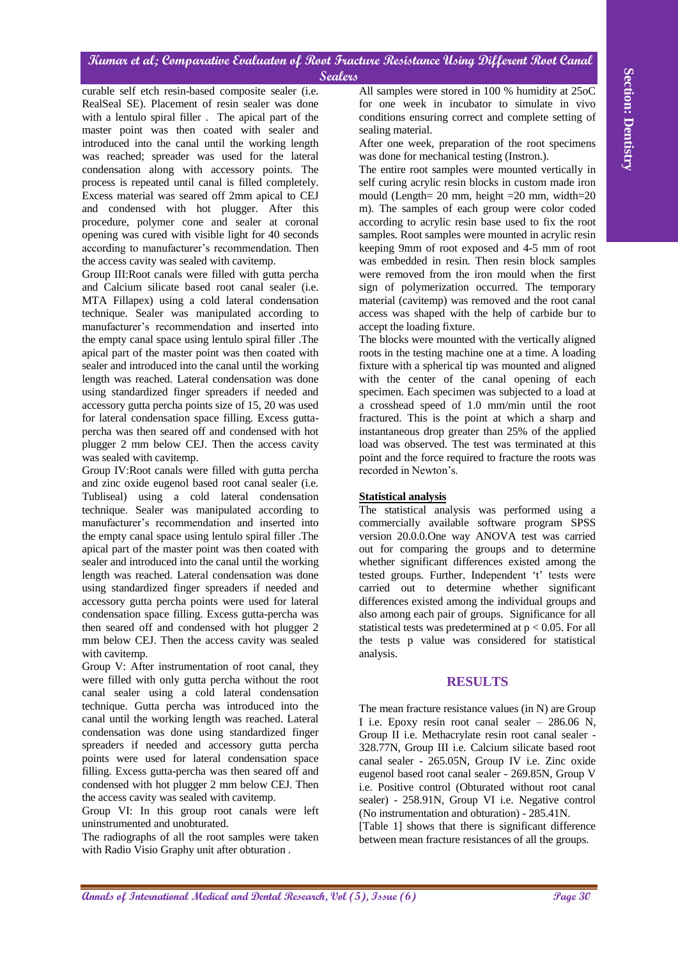curable self etch resin-based composite sealer (i.e. RealSeal SE). Placement of resin sealer was done with a lentulo spiral filler . The apical part of the master point was then coated with sealer and introduced into the canal until the working length was reached; spreader was used for the lateral condensation along with accessory points. The process is repeated until canal is filled completely. Excess material was seared off 2mm apical to CEJ and condensed with hot plugger. After this procedure, polymer cone and sealer at coronal opening was cured with visible light for 40 seconds according to manufacturer's recommendation. Then the access cavity was sealed with cavitemp.

**Annals and constrained analysis with the constrained analysis were attended by the annalysis of the Constrained and Dental Research and the Constrained and Dental Research and the Constrained and Dental Research and the** Group III:Root canals were filled with gutta percha and Calcium silicate based root canal sealer (i.e. MTA Fillapex) using a cold lateral condensation technique. Sealer was manipulated according to manufacturer's recommendation and inserted into the empty canal space using lentulo spiral filler .The apical part of the master point was then coated with sealer and introduced into the canal until the working length was reached. Lateral condensation was done using standardized finger spreaders if needed and accessory gutta percha points size of 15, 20 was used for lateral condensation space filling. Excess guttapercha was then seared off and condensed with hot plugger 2 mm below CEJ. Then the access cavity was sealed with cavitemp.

Group IV:Root canals were filled with gutta percha and zinc oxide eugenol based root canal sealer (i.e. Tubliseal) using a cold lateral condensation technique. Sealer was manipulated according to manufacturer's recommendation and inserted into the empty canal space using lentulo spiral filler .The apical part of the master point was then coated with sealer and introduced into the canal until the working length was reached. Lateral condensation was done using standardized finger spreaders if needed and accessory gutta percha points were used for lateral condensation space filling. Excess gutta-percha was then seared off and condensed with hot plugger 2 mm below CEJ. Then the access cavity was sealed with cavitemp.

Group V: After instrumentation of root canal, they were filled with only gutta percha without the root canal sealer using a cold lateral condensation technique. Gutta percha was introduced into the canal until the working length was reached. Lateral condensation was done using standardized finger spreaders if needed and accessory gutta percha points were used for lateral condensation space filling. Excess gutta-percha was then seared off and condensed with hot plugger 2 mm below CEJ. Then the access cavity was sealed with cavitemp.

Group VI: In this group root canals were left uninstrumented and unobturated.

The radiographs of all the root samples were taken with Radio Visio Graphy unit after obturation .

All samples were stored in 100 % humidity at 25oC for one week in incubator to simulate in vivo conditions ensuring correct and complete setting of sealing material.

After one week, preparation of the root specimens was done for mechanical testing (Instron.).

The entire root samples were mounted vertically in self curing acrylic resin blocks in custom made iron mould (Length= 20 mm, height =20 mm, width=20 m). The samples of each group were color coded according to acrylic resin base used to fix the root samples. Root samples were mounted in acrylic resin keeping 9mm of root exposed and 4-5 mm of root was embedded in resin. Then resin block samples were removed from the iron mould when the first sign of polymerization occurred. The temporary material (cavitemp) was removed and the root canal access was shaped with the help of carbide bur to accept the loading fixture.

The blocks were mounted with the vertically aligned roots in the testing machine one at a time. A loading fixture with a spherical tip was mounted and aligned with the center of the canal opening of each specimen. Each specimen was subjected to a load at a crosshead speed of 1.0 mm/min until the root fractured. This is the point at which a sharp and instantaneous drop greater than 25% of the applied load was observed. The test was terminated at this point and the force required to fracture the roots was recorded in Newton's.

## **Statistical analysis**

The statistical analysis was performed using a commercially available software program SPSS version 20.0.0.One way ANOVA test was carried out for comparing the groups and to determine whether significant differences existed among the tested groups. Further, Independent 't' tests were carried out to determine whether significant differences existed among the individual groups and also among each pair of groups. Significance for all statistical tests was predetermined at p < 0.05. For all the tests p value was considered for statistical analysis.

# **RESULTS**

The mean fracture resistance values (in N) are Group I i.e. Epoxy resin root canal sealer – 286.06 N, Group II i.e. Methacrylate resin root canal sealer - 328.77N, Group III i.e. Calcium silicate based root canal sealer - 265.05N, Group IV i.e. Zinc oxide eugenol based root canal sealer - 269.85N, Group V i.e. Positive control (Obturated without root canal sealer) - 258.91N, Group VI i.e. Negative control (No instrumentation and obturation) - 285.41N.

[Table 1] shows that there is significant difference between mean fracture resistances of all the groups.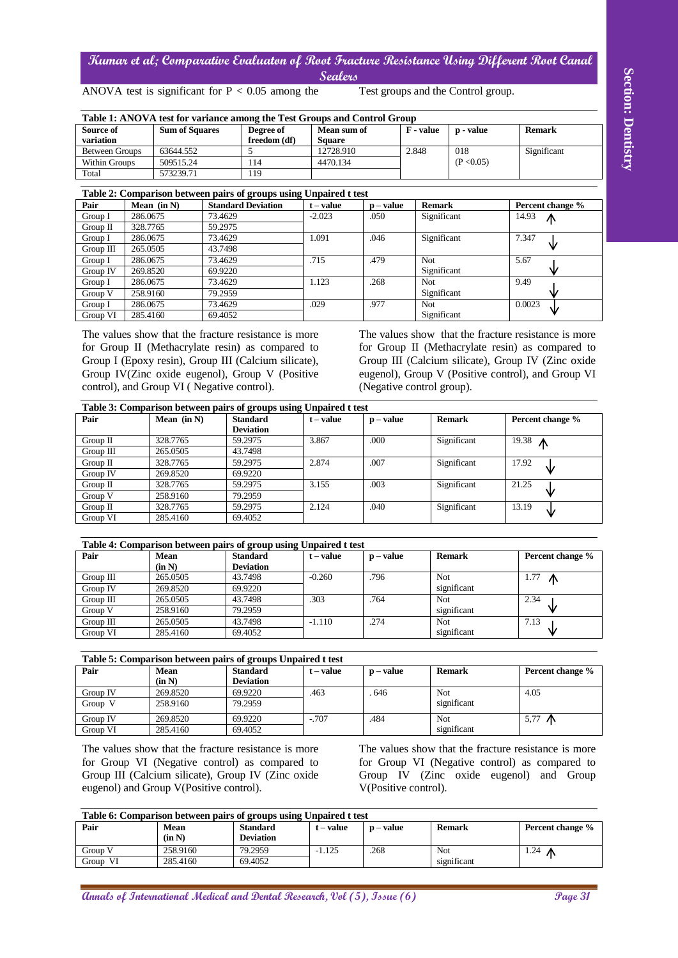| Table 1: ANOVA test for variance among the Test Groups and Control Group |                       |              |               |                  |            |               |  |  |
|--------------------------------------------------------------------------|-----------------------|--------------|---------------|------------------|------------|---------------|--|--|
| Source of                                                                | <b>Sum of Squares</b> | Degree of    | Mean sum of   | <b>F</b> - value | p - value  | <b>Remark</b> |  |  |
| variation                                                                |                       | freedom (df) | <b>Square</b> |                  |            |               |  |  |
| <b>Between Groups</b>                                                    | 63644.552             |              | 12728.910     | 2.848            | 018        | Significant   |  |  |
| Within Groups                                                            | 509515.24             | 114          | 4470.134      |                  | (P < 0.05) |               |  |  |
| Total                                                                    | 573239.71             | 119          |               |                  |            |               |  |  |

|               | ---- -- -- -- -- -- --<br>——————————— |                           |           |           |               |                  |  |  |  |
|---------------|---------------------------------------|---------------------------|-----------|-----------|---------------|------------------|--|--|--|
| Pair          | Mean $(in N)$                         | <b>Standard Deviation</b> | t – value | p – value | <b>Remark</b> | Percent change % |  |  |  |
| Group I       | 286,0675                              | 73.4629                   | $-2.023$  | .050      | Significant   | 14.93<br>⋀       |  |  |  |
| Group $II$    | 328,7765                              | 59.2975                   |           |           |               |                  |  |  |  |
| Group I       | 286,0675                              | 73.4629                   | 1.091     | .046      | Significant   | 7.347            |  |  |  |
| $Group$ $III$ | 265.0505                              | 43.7498                   |           |           |               | ν                |  |  |  |
| Group I       | 286,0675                              | 73.4629                   | .715      | .479      | Not           | 5.67             |  |  |  |
| Group IV      | 269.8520                              | 69.9220                   |           |           | Significant   | ₩                |  |  |  |
| Group I       | 286,0675                              | 73.4629                   | 1.123     | .268      | Not           | 9.49             |  |  |  |
| Group V       | 258.9160                              | 79.2959                   |           |           | Significant   | w                |  |  |  |
| Group I       | 286,0675                              | 73.4629                   | .029      | .977      | Not           | 0.0023<br>₩      |  |  |  |
| Group VI      | 285.4160                              | 69.4052                   |           |           | Significant   |                  |  |  |  |

| <b>Sum of Squares</b><br>63644.552<br>509515.24<br>573239.71<br>Mean (in N)<br>73.4629<br>59.2975<br>73.4629<br>43.7498<br>73.4629 | ANOVA test is significant for $P < 0.05$ among the<br>Table 1: ANOVA test for variance among the Test Groups and Control Group<br>Degree of<br>freedom (df)<br>5<br>114<br>119<br>Table 2: Comparison between pairs of groups using Unpaired t test<br><b>Standard Deviation</b> | Mean sum of<br><b>Square</b><br>12728.910<br>4470.134                                                                                                                                                                       |                                                                                                                                                                                                                                                      | Test groups and the Control group.<br>F - value<br>p - value                                                                                                                        | <b>Remark</b>                                                                                                                                                                                                                                                                                    |
|------------------------------------------------------------------------------------------------------------------------------------|----------------------------------------------------------------------------------------------------------------------------------------------------------------------------------------------------------------------------------------------------------------------------------|-----------------------------------------------------------------------------------------------------------------------------------------------------------------------------------------------------------------------------|------------------------------------------------------------------------------------------------------------------------------------------------------------------------------------------------------------------------------------------------------|-------------------------------------------------------------------------------------------------------------------------------------------------------------------------------------|--------------------------------------------------------------------------------------------------------------------------------------------------------------------------------------------------------------------------------------------------------------------------------------------------|
|                                                                                                                                    |                                                                                                                                                                                                                                                                                  |                                                                                                                                                                                                                             |                                                                                                                                                                                                                                                      |                                                                                                                                                                                     |                                                                                                                                                                                                                                                                                                  |
|                                                                                                                                    |                                                                                                                                                                                                                                                                                  |                                                                                                                                                                                                                             |                                                                                                                                                                                                                                                      |                                                                                                                                                                                     |                                                                                                                                                                                                                                                                                                  |
|                                                                                                                                    |                                                                                                                                                                                                                                                                                  |                                                                                                                                                                                                                             |                                                                                                                                                                                                                                                      |                                                                                                                                                                                     |                                                                                                                                                                                                                                                                                                  |
|                                                                                                                                    |                                                                                                                                                                                                                                                                                  |                                                                                                                                                                                                                             | 2.848                                                                                                                                                                                                                                                | 018                                                                                                                                                                                 | Significant                                                                                                                                                                                                                                                                                      |
|                                                                                                                                    |                                                                                                                                                                                                                                                                                  |                                                                                                                                                                                                                             |                                                                                                                                                                                                                                                      | (P < 0.05)                                                                                                                                                                          |                                                                                                                                                                                                                                                                                                  |
|                                                                                                                                    |                                                                                                                                                                                                                                                                                  |                                                                                                                                                                                                                             |                                                                                                                                                                                                                                                      |                                                                                                                                                                                     |                                                                                                                                                                                                                                                                                                  |
|                                                                                                                                    |                                                                                                                                                                                                                                                                                  |                                                                                                                                                                                                                             |                                                                                                                                                                                                                                                      |                                                                                                                                                                                     |                                                                                                                                                                                                                                                                                                  |
|                                                                                                                                    |                                                                                                                                                                                                                                                                                  | $t - value$                                                                                                                                                                                                                 | $p - value$                                                                                                                                                                                                                                          | <b>Remark</b>                                                                                                                                                                       | Percent change %                                                                                                                                                                                                                                                                                 |
|                                                                                                                                    |                                                                                                                                                                                                                                                                                  | $-2.023$                                                                                                                                                                                                                    | .050                                                                                                                                                                                                                                                 | Significant                                                                                                                                                                         | 14.93<br>∧                                                                                                                                                                                                                                                                                       |
|                                                                                                                                    |                                                                                                                                                                                                                                                                                  | 1.091                                                                                                                                                                                                                       | .046                                                                                                                                                                                                                                                 | Significant                                                                                                                                                                         | 7.347                                                                                                                                                                                                                                                                                            |
|                                                                                                                                    |                                                                                                                                                                                                                                                                                  |                                                                                                                                                                                                                             |                                                                                                                                                                                                                                                      |                                                                                                                                                                                     | V                                                                                                                                                                                                                                                                                                |
|                                                                                                                                    |                                                                                                                                                                                                                                                                                  | .715                                                                                                                                                                                                                        | .479                                                                                                                                                                                                                                                 | Not                                                                                                                                                                                 | 5.67                                                                                                                                                                                                                                                                                             |
| 69.9220                                                                                                                            |                                                                                                                                                                                                                                                                                  |                                                                                                                                                                                                                             |                                                                                                                                                                                                                                                      | Significant                                                                                                                                                                         |                                                                                                                                                                                                                                                                                                  |
| 73.4629                                                                                                                            |                                                                                                                                                                                                                                                                                  | 1.123                                                                                                                                                                                                                       | .268                                                                                                                                                                                                                                                 | Not                                                                                                                                                                                 | 9.49                                                                                                                                                                                                                                                                                             |
| 79.2959<br>73.4629                                                                                                                 |                                                                                                                                                                                                                                                                                  | .029                                                                                                                                                                                                                        | .977                                                                                                                                                                                                                                                 | Significant<br>Not                                                                                                                                                                  | 0.0023                                                                                                                                                                                                                                                                                           |
|                                                                                                                                    |                                                                                                                                                                                                                                                                                  |                                                                                                                                                                                                                             |                                                                                                                                                                                                                                                      | Significant                                                                                                                                                                         |                                                                                                                                                                                                                                                                                                  |
|                                                                                                                                    |                                                                                                                                                                                                                                                                                  |                                                                                                                                                                                                                             |                                                                                                                                                                                                                                                      |                                                                                                                                                                                     |                                                                                                                                                                                                                                                                                                  |
|                                                                                                                                    |                                                                                                                                                                                                                                                                                  |                                                                                                                                                                                                                             |                                                                                                                                                                                                                                                      |                                                                                                                                                                                     |                                                                                                                                                                                                                                                                                                  |
|                                                                                                                                    |                                                                                                                                                                                                                                                                                  | $t - value$                                                                                                                                                                                                                 |                                                                                                                                                                                                                                                      | <b>Remark</b>                                                                                                                                                                       | Percent change %                                                                                                                                                                                                                                                                                 |
|                                                                                                                                    |                                                                                                                                                                                                                                                                                  |                                                                                                                                                                                                                             |                                                                                                                                                                                                                                                      |                                                                                                                                                                                     | $19.38$ $\uparrow$                                                                                                                                                                                                                                                                               |
|                                                                                                                                    |                                                                                                                                                                                                                                                                                  |                                                                                                                                                                                                                             |                                                                                                                                                                                                                                                      |                                                                                                                                                                                     | 17.92                                                                                                                                                                                                                                                                                            |
| 269.8520                                                                                                                           |                                                                                                                                                                                                                                                                                  |                                                                                                                                                                                                                             |                                                                                                                                                                                                                                                      |                                                                                                                                                                                     |                                                                                                                                                                                                                                                                                                  |
| 328.7765                                                                                                                           |                                                                                                                                                                                                                                                                                  | 3.155                                                                                                                                                                                                                       | .003                                                                                                                                                                                                                                                 | Significant                                                                                                                                                                         | 21.25                                                                                                                                                                                                                                                                                            |
| 258.9160                                                                                                                           |                                                                                                                                                                                                                                                                                  |                                                                                                                                                                                                                             |                                                                                                                                                                                                                                                      |                                                                                                                                                                                     |                                                                                                                                                                                                                                                                                                  |
| 328.7765                                                                                                                           |                                                                                                                                                                                                                                                                                  | 2.124                                                                                                                                                                                                                       | .040                                                                                                                                                                                                                                                 | Significant                                                                                                                                                                         | 13.19<br>◡                                                                                                                                                                                                                                                                                       |
|                                                                                                                                    |                                                                                                                                                                                                                                                                                  |                                                                                                                                                                                                                             |                                                                                                                                                                                                                                                      |                                                                                                                                                                                     | Percent change %                                                                                                                                                                                                                                                                                 |
| (in N)                                                                                                                             |                                                                                                                                                                                                                                                                                  |                                                                                                                                                                                                                             |                                                                                                                                                                                                                                                      |                                                                                                                                                                                     |                                                                                                                                                                                                                                                                                                  |
| 265.0505                                                                                                                           |                                                                                                                                                                                                                                                                                  | $-0.260$                                                                                                                                                                                                                    | 796                                                                                                                                                                                                                                                  | Not                                                                                                                                                                                 |                                                                                                                                                                                                                                                                                                  |
|                                                                                                                                    | 43.7498                                                                                                                                                                                                                                                                          |                                                                                                                                                                                                                             |                                                                                                                                                                                                                                                      |                                                                                                                                                                                     |                                                                                                                                                                                                                                                                                                  |
| 269.8520                                                                                                                           | 69.9220                                                                                                                                                                                                                                                                          |                                                                                                                                                                                                                             |                                                                                                                                                                                                                                                      | significant                                                                                                                                                                         | 1.77 $\uparrow$                                                                                                                                                                                                                                                                                  |
| 265.0505                                                                                                                           | 43.7498                                                                                                                                                                                                                                                                          | .303                                                                                                                                                                                                                        | .764                                                                                                                                                                                                                                                 | Not                                                                                                                                                                                 | 2.34                                                                                                                                                                                                                                                                                             |
| 258.9160                                                                                                                           | 79.2959                                                                                                                                                                                                                                                                          |                                                                                                                                                                                                                             |                                                                                                                                                                                                                                                      | significant                                                                                                                                                                         |                                                                                                                                                                                                                                                                                                  |
| 265.0505<br>285.4160                                                                                                               | 43.7498<br>69.4052                                                                                                                                                                                                                                                               | $-1.110$                                                                                                                                                                                                                    | .274                                                                                                                                                                                                                                                 | Not<br>significant                                                                                                                                                                  | 7.13<br>∨                                                                                                                                                                                                                                                                                        |
|                                                                                                                                    |                                                                                                                                                                                                                                                                                  |                                                                                                                                                                                                                             |                                                                                                                                                                                                                                                      |                                                                                                                                                                                     |                                                                                                                                                                                                                                                                                                  |
|                                                                                                                                    | Table 5: Comparison between pairs of groups Unpaired t test                                                                                                                                                                                                                      |                                                                                                                                                                                                                             |                                                                                                                                                                                                                                                      |                                                                                                                                                                                     |                                                                                                                                                                                                                                                                                                  |
| <b>Mean</b><br>(in N)                                                                                                              | <b>Standard</b><br><b>Deviation</b>                                                                                                                                                                                                                                              | $t - value$                                                                                                                                                                                                                 | $p - value$                                                                                                                                                                                                                                          | <b>Remark</b>                                                                                                                                                                       | Percent change %                                                                                                                                                                                                                                                                                 |
| 269.8520                                                                                                                           | 69.9220                                                                                                                                                                                                                                                                          | .463                                                                                                                                                                                                                        | .646                                                                                                                                                                                                                                                 | Not                                                                                                                                                                                 | 4.05                                                                                                                                                                                                                                                                                             |
| 258.9160                                                                                                                           | 79.2959                                                                                                                                                                                                                                                                          |                                                                                                                                                                                                                             |                                                                                                                                                                                                                                                      | significant                                                                                                                                                                         |                                                                                                                                                                                                                                                                                                  |
| 269.8520<br>285.4160                                                                                                               | 69.9220<br>69.4052                                                                                                                                                                                                                                                               | $-0.707$                                                                                                                                                                                                                    | .484                                                                                                                                                                                                                                                 | Not<br>significant                                                                                                                                                                  | 5,77 $\Lambda$                                                                                                                                                                                                                                                                                   |
|                                                                                                                                    | Mean (in N)<br>328.7765<br>265.0505<br>328.7765<br>285.4160<br>Mean                                                                                                                                                                                                              | 69.4052<br>control), and Group VI (Negative control).<br><b>Standard</b><br><b>Deviation</b><br>59.2975<br>43.7498<br>59.2975<br>69.9220<br>59.2975<br>79.2959<br>59.2975<br>69.4052<br><b>Standard</b><br><b>Deviation</b> | The values show that the fracture resistance is more<br>for Group II (Methacrylate resin) as compared to<br>Group I (Epoxy resin), Group III (Calcium silicate),<br>Group IV(Zinc oxide eugenol), Group V (Positive<br>3.867<br>2.874<br>$t - value$ | Table 3: Comparison between pairs of groups using Unpaired t test<br>$p - value$<br>.000<br>.007<br>Table 4: Comparison between pairs of group using Unpaired t test<br>$p - value$ | The values show that the fracture resistance is more<br>for Group II (Methacrylate resin) as compared to<br>Group III (Calcium silicate), Group IV (Zinc oxide<br>eugenol), Group V (Positive control), and Group VI<br>(Negative control group).<br>Significant<br>Significant<br><b>Remark</b> |

| Table 4: Comparison between pairs of group using Unpaired t test |                |                                     |             |             |               |                  |  |  |
|------------------------------------------------------------------|----------------|-------------------------------------|-------------|-------------|---------------|------------------|--|--|
| Pair                                                             | Mean<br>(in N) | <b>Standard</b><br><b>Deviation</b> | $t - value$ | $p - value$ | <b>Remark</b> | Percent change % |  |  |
| $Group \quad III$                                                | 265.0505       | 43.7498                             | $-0.260$    | .796        | Not           | 1.77<br>᠕        |  |  |
| Group IV                                                         | 269.8520       | 69.9220                             |             |             | significant   |                  |  |  |
| Group III                                                        | 265.0505       | 43.7498                             | .303        | .764        | Not           | 2.34             |  |  |
| Group V                                                          | 258.9160       | 79.2959                             |             |             | significant   |                  |  |  |
| $Group \quad III$                                                | 265.0505       | 43.7498                             | $-1.110$    | .274        | Not           | 7.13             |  |  |
| Group VI                                                         | 285.4160       | 69.4052                             |             |             | significant   |                  |  |  |

|  | Table 5: Comparison between pairs of groups Unpaired t test |
|--|-------------------------------------------------------------|
|--|-------------------------------------------------------------|

| Pair     | Mean     | <b>Standard</b>  | t – <b>value</b> | $p - value$ | Remark      | Percent change % |  |
|----------|----------|------------------|------------------|-------------|-------------|------------------|--|
|          | (in N)   | <b>Deviation</b> |                  |             |             |                  |  |
| Group IV | 269.8520 | 69.9220          | .463             | . 646       | Not         | 4.05             |  |
| Group    | 258.9160 | 79.2959          |                  |             | significant |                  |  |
| Group IV | 269.8520 | 69.9220          | $-.707$          | .484        | Not         | 5.77<br>- 7N     |  |
| Group VI | 285.4160 | 69.4052          |                  |             | significant |                  |  |

| Table 6: Comparison between pairs of groups using Unpaired t test |             |                  |             |           |               |                  |  |  |
|-------------------------------------------------------------------|-------------|------------------|-------------|-----------|---------------|------------------|--|--|
| Pair                                                              | <b>Mean</b> | <b>Standard</b>  | $t - value$ | p – value | <b>Remark</b> | Percent change % |  |  |
|                                                                   | (in N)      | <b>Deviation</b> |             |           |               |                  |  |  |
| Group V                                                           | 258.9160    | 79.2959          | $-1.125$    | .268      | Not           | 1.24<br>⋀        |  |  |
| VI<br>Group                                                       | 285.4160    | 69.4052          |             |           | significant   |                  |  |  |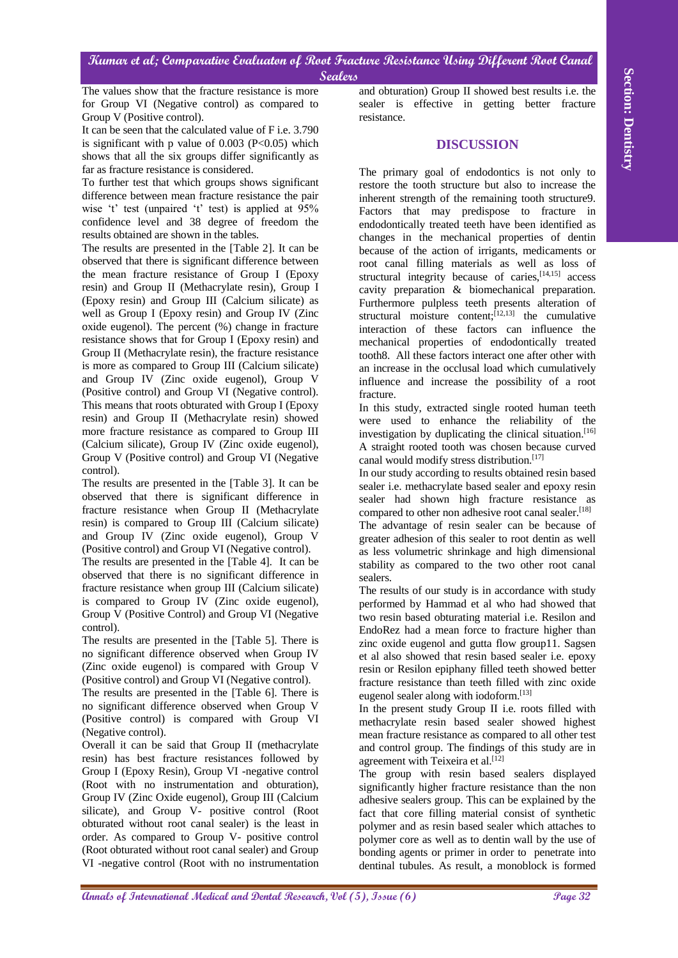The values show that the fracture resistance is more for Group VI (Negative control) as compared to Group V (Positive control).

It can be seen that the calculated value of F i.e. 3.790 is significant with p value of  $0.003$  (P<0.05) which shows that all the six groups differ significantly as far as fracture resistance is considered.

To further test that which groups shows significant difference between mean fracture resistance the pair wise 't' test (unpaired 't' test) is applied at 95% confidence level and 38 degree of freedom the results obtained are shown in the tables.

**The colors due of an absorption of Annalysis based on the color in a space of the color in the color in the color in the color in the color in the color in the color in the color in the color in the color in the color in** The results are presented in the [Table 2]. It can be observed that there is significant difference between the mean fracture resistance of Group I (Epoxy resin) and Group II (Methacrylate resin), Group I (Epoxy resin) and Group III (Calcium silicate) as well as Group I (Epoxy resin) and Group IV (Zinc oxide eugenol). The percent (%) change in fracture resistance shows that for Group I (Epoxy resin) and Group II (Methacrylate resin), the fracture resistance is more as compared to Group III (Calcium silicate) and Group IV (Zinc oxide eugenol), Group V (Positive control) and Group VI (Negative control). This means that roots obturated with Group I (Epoxy resin) and Group II (Methacrylate resin) showed more fracture resistance as compared to Group III (Calcium silicate), Group IV (Zinc oxide eugenol), Group V (Positive control) and Group VI (Negative control).

The results are presented in the [Table 3]. It can be observed that there is significant difference in fracture resistance when Group II (Methacrylate resin) is compared to Group III (Calcium silicate) and Group IV (Zinc oxide eugenol), Group V (Positive control) and Group VI (Negative control).

The results are presented in the [Table 4]. It can be observed that there is no significant difference in fracture resistance when group III (Calcium silicate) is compared to Group IV (Zinc oxide eugenol), Group V (Positive Control) and Group VI (Negative control).

The results are presented in the [Table 5]. There is no significant difference observed when Group IV (Zinc oxide eugenol) is compared with Group V (Positive control) and Group VI (Negative control).

The results are presented in the [Table 6]. There is no significant difference observed when Group V (Positive control) is compared with Group VI (Negative control).

Overall it can be said that Group II (methacrylate resin) has best fracture resistances followed by Group I (Epoxy Resin), Group VI -negative control (Root with no instrumentation and obturation), Group IV (Zinc Oxide eugenol), Group III (Calcium silicate), and Group V- positive control (Root obturated without root canal sealer) is the least in order. As compared to Group V- positive control (Root obturated without root canal sealer) and Group VI -negative control (Root with no instrumentation

and obturation) Group II showed best results i.e. the sealer is effective in getting better fracture resistance.

## **DISCUSSION**

The primary goal of endodontics is not only to restore the tooth structure but also to increase the inherent strength of the remaining tooth structure9. Factors that may predispose to fracture in endodontically treated teeth have been identified as changes in the mechanical properties of dentin because of the action of irrigants, medicaments or root canal filling materials as well as loss of structural integrity because of caries, <a>[14,15]</a> access cavity preparation & biomechanical preparation. Furthermore pulpless teeth presents alteration of structural moisture content;<sup>[12,13]</sup> the cumulative interaction of these factors can influence the mechanical properties of endodontically treated tooth8. All these factors interact one after other with an increase in the occlusal load which cumulatively influence and increase the possibility of a root fracture.

In this study, extracted single rooted human teeth were used to enhance the reliability of the investigation by duplicating the clinical situation. [16] A straight rooted tooth was chosen because curved canal would modify stress distribution. [17]

In our study according to results obtained resin based sealer i.e. methacrylate based sealer and epoxy resin sealer had shown high fracture resistance as compared to other non adhesive root canal sealer. [18] The advantage of resin sealer can be because of greater adhesion of this sealer to root dentin as well as less volumetric shrinkage and high dimensional stability as compared to the two other root canal sealers.

The results of our study is in accordance with study performed by Hammad et al who had showed that two resin based obturating material i.e. Resilon and EndoRez had a mean force to fracture higher than zinc oxide eugenol and gutta flow group11. Sagsen et al also showed that resin based sealer i.e. epoxy resin or Resilon epiphany filled teeth showed better fracture resistance than teeth filled with zinc oxide eugenol sealer along with iodoform. [13]

In the present study Group II i.e. roots filled with methacrylate resin based sealer showed highest mean fracture resistance as compared to all other test and control group. The findings of this study are in agreement with Teixeira et al. [12]

The group with resin based sealers displayed significantly higher fracture resistance than the non adhesive sealers group. This can be explained by the fact that core filling material consist of synthetic polymer and as resin based sealer which attaches to polymer core as well as to dentin wall by the use of bonding agents or primer in order to penetrate into dentinal tubules. As result, a monoblock is formed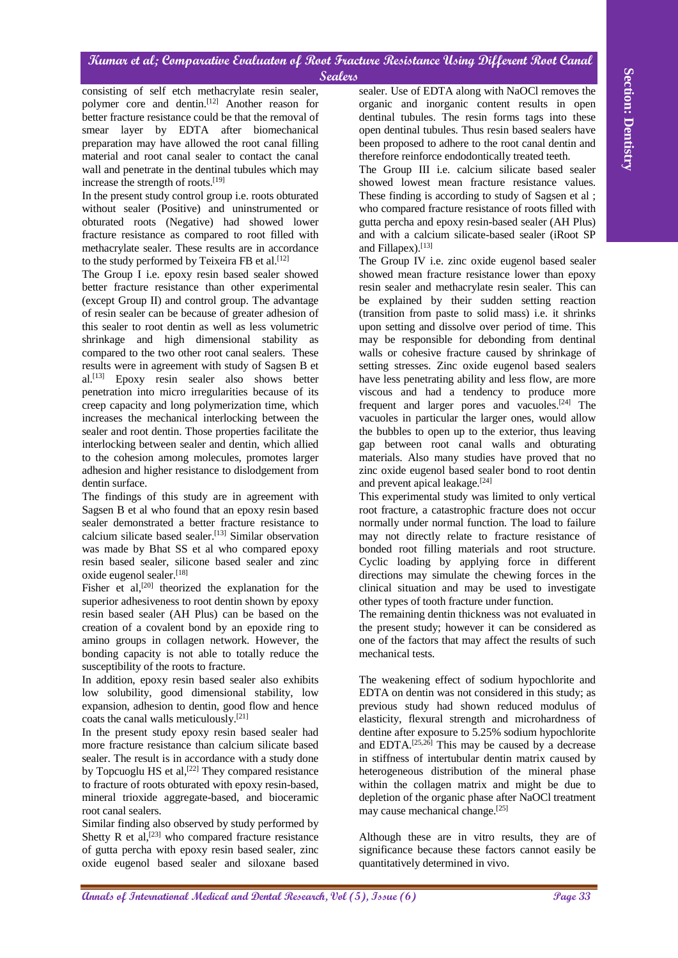consisting of self etch methacrylate resin sealer, polymer core and dentin. [12] Another reason for better fracture resistance could be that the removal of smear layer by EDTA after biomechanical preparation may have allowed the root canal filling material and root canal sealer to contact the canal wall and penetrate in the dentinal tubules which may increase the strength of roots. [19]

In the present study control group i.e. roots obturated without sealer (Positive) and uninstrumented or obturated roots (Negative) had showed lower fracture resistance as compared to root filled with methacrylate sealer. These results are in accordance to the study performed by Teixeira FB et al.<sup>[12]</sup>

The Group I i.e. epoxy resin based sealer showed better fracture resistance than other experimental (except Group II) and control group. The advantage of resin sealer can be because of greater adhesion of this sealer to root dentin as well as less volumetric shrinkage and high dimensional stability as compared to the two other root canal sealers. These results were in agreement with study of Sagsen B et al. [13] Epoxy resin sealer also shows better penetration into micro irregularities because of its creep capacity and long polymerization time, which increases the mechanical interlocking between the sealer and root dentin. Those properties facilitate the interlocking between sealer and dentin, which allied to the cohesion among molecules, promotes larger adhesion and higher resistance to dislodgement from dentin surface.

The findings of this study are in agreement with Sagsen B et al who found that an epoxy resin based sealer demonstrated a better fracture resistance to calcium silicate based sealer. [13] Similar observation was made by Bhat SS et al who compared epoxy resin based sealer, silicone based sealer and zinc oxide eugenol sealer. [18]

Fisher et al,<sup>[20]</sup> theorized the explanation for the superior adhesiveness to root dentin shown by epoxy resin based sealer (AH Plus) can be based on the creation of a covalent bond by an epoxide ring to amino groups in collagen network. However, the bonding capacity is not able to totally reduce the susceptibility of the roots to fracture.

In addition, epoxy resin based sealer also exhibits low solubility, good dimensional stability, low expansion, adhesion to dentin, good flow and hence coats the canal walls meticulously. [21]

In the present study epoxy resin based sealer had more fracture resistance than calcium silicate based sealer. The result is in accordance with a study done by Topcuoglu HS et al,  $[22]$  They compared resistance to fracture of roots obturated with epoxy resin-based, mineral trioxide aggregate-based, and bioceramic root canal sealers.

Similar finding also observed by study performed by Shetty R et al, $^{[23]}$  who compared fracture resistance of gutta percha with epoxy resin based sealer, zinc oxide eugenol based sealer and siloxane based

sealer. Use of EDTA along with NaOCl removes the organic and inorganic content results in open dentinal tubules. The resin forms tags into these open dentinal tubules. Thus resin based sealers have been proposed to adhere to the root canal dentin and therefore reinforce endodontically treated teeth.

The Group III i.e. calcium silicate based sealer showed lowest mean fracture resistance values. These finding is according to study of Sagsen et al ; who compared fracture resistance of roots filled with gutta percha and epoxy resin-based sealer (AH Plus) and with a calcium silicate-based sealer (iRoot SP and Fillapex). [13]

**Annaling of tell, eith mathins plate teile and note that we have a section of the section of the section of the section of the section of the section of the section of the section of the section of the section of the sect** The Group IV i.e. zinc oxide eugenol based sealer showed mean fracture resistance lower than epoxy resin sealer and methacrylate resin sealer. This can be explained by their sudden setting reaction (transition from paste to solid mass) i.e. it shrinks upon setting and dissolve over period of time. This may be responsible for debonding from dentinal walls or cohesive fracture caused by shrinkage of setting stresses. Zinc oxide eugenol based sealers have less penetrating ability and less flow, are more viscous and had a tendency to produce more frequent and larger pores and vacuoles.<sup>[24]</sup> The vacuoles in particular the larger ones, would allow the bubbles to open up to the exterior, thus leaving gap between root canal walls and obturating materials. Also many studies have proved that no zinc oxide eugenol based sealer bond to root dentin and prevent apical leakage. [24]

This experimental study was limited to only vertical root fracture, a catastrophic fracture does not occur normally under normal function. The load to failure may not directly relate to fracture resistance of bonded root filling materials and root structure. Cyclic loading by applying force in different directions may simulate the chewing forces in the clinical situation and may be used to investigate other types of tooth fracture under function.

The remaining dentin thickness was not evaluated in the present study; however it can be considered as one of the factors that may affect the results of such mechanical tests.

The weakening effect of sodium hypochlorite and EDTA on dentin was not considered in this study; as previous study had shown reduced modulus of elasticity, flexural strength and microhardness of dentine after exposure to 5.25% sodium hypochlorite and EDTA. $[25,26]$  This may be caused by a decrease in stiffness of intertubular dentin matrix caused by heterogeneous distribution of the mineral phase within the collagen matrix and might be due to depletion of the organic phase after NaOCl treatment may cause mechanical change. [25]

Although these are in vitro results, they are of significance because these factors cannot easily be quantitatively determined in vivo.